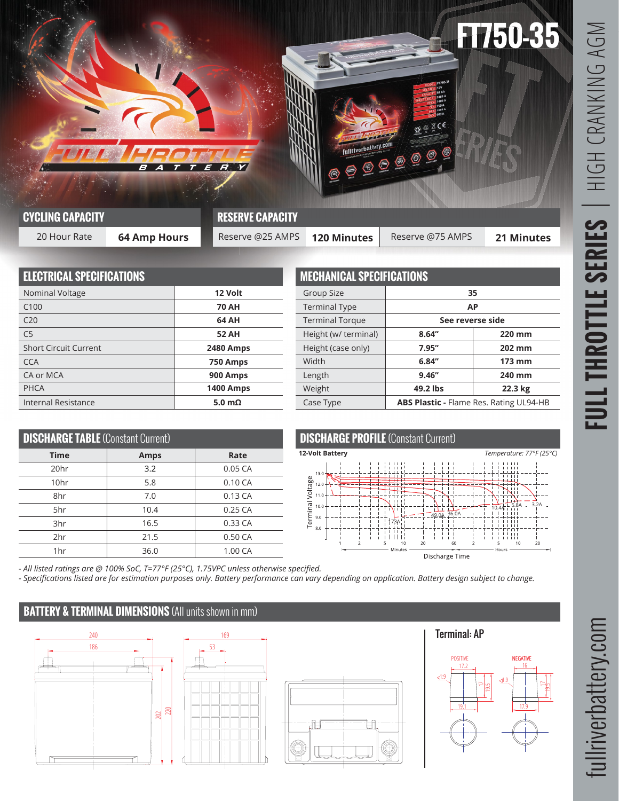

| <b>Contract Contract Contract Contract</b><br><b>CYCLING CAPACITY</b> |              | <b>RESERVE CAPACITY</b> |                    |                  |                   |  |  |
|-----------------------------------------------------------------------|--------------|-------------------------|--------------------|------------------|-------------------|--|--|
| 20 Hour Rate                                                          | 64 Amp Hours | Reserve @25 AMPS        | <b>120 Minutes</b> | Reserve @75 AMPS | <b>21 Minutes</b> |  |  |

| <b>ELECTRICAL SPECIFICATIONS</b> |                  |  |  |  |
|----------------------------------|------------------|--|--|--|
| Nominal Voltage                  | 12 Volt          |  |  |  |
| C100                             | <b>70 AH</b>     |  |  |  |
| C <sub>20</sub>                  | 64 AH            |  |  |  |
| C <sub>5</sub>                   | <b>52 AH</b>     |  |  |  |
| <b>Short Circuit Current</b>     | <b>2480 Amps</b> |  |  |  |
| <b>CCA</b>                       | 750 Amps         |  |  |  |
| CA or MCA                        | 900 Amps         |  |  |  |
| PHCA                             | <b>1400 Amps</b> |  |  |  |
| Internal Resistance              | 5.0 $m\Omega$    |  |  |  |

| <b>MECHANICAL SPECIFICATIONS</b> |                                         |         |  |  |  |
|----------------------------------|-----------------------------------------|---------|--|--|--|
| Group Size                       | 35                                      |         |  |  |  |
| <b>Terminal Type</b>             | AP                                      |         |  |  |  |
| <b>Terminal Torque</b>           | See reverse side                        |         |  |  |  |
| Height (w/ terminal)             | 8.64''                                  | 220 mm  |  |  |  |
| Height (case only)               | 7.95"                                   | 202 mm  |  |  |  |
| Width                            | 6.84''                                  | 173 mm  |  |  |  |
| Length                           | 9.46''                                  | 240 mm  |  |  |  |
| Weight                           | 49.2 lbs                                | 22.3 kg |  |  |  |
| Case Type                        | ABS Plastic - Flame Res. Rating UL94-HB |         |  |  |  |

| <b>DISCHARGE TABLE (Constant Current)</b> |      |           |  |  |  |  |
|-------------------------------------------|------|-----------|--|--|--|--|
| <b>Time</b>                               | Rate |           |  |  |  |  |
| 20 <sub>hr</sub>                          | 3.2  | 0.05 CA   |  |  |  |  |
| 10hr                                      | 5.8  | 0.10 CA   |  |  |  |  |
| 8hr                                       | 7.0  | 0.13 CA   |  |  |  |  |
| 5hr                                       | 10.4 | $0.25$ CA |  |  |  |  |
| 3hr                                       | 16.5 | 0.33 CA   |  |  |  |  |
| 2hr                                       | 21.5 | 0.50 CA   |  |  |  |  |
| 1hr                                       | 36.0 | 1.00 CA   |  |  |  |  |



*- All listed ratings are @ 100% SoC, T=77°F (25°C), 1.75VPC unless otherwise specified.*

*- Specifications listed are for estimation purposes only. Battery performance can vary depending on application. Battery design subject to change.*

## **BATTERY & TERMINAL DIMENSIONS** (All units shown in mm)





Terminal: AP



fullriverbattery.com

fullriverbattery.com